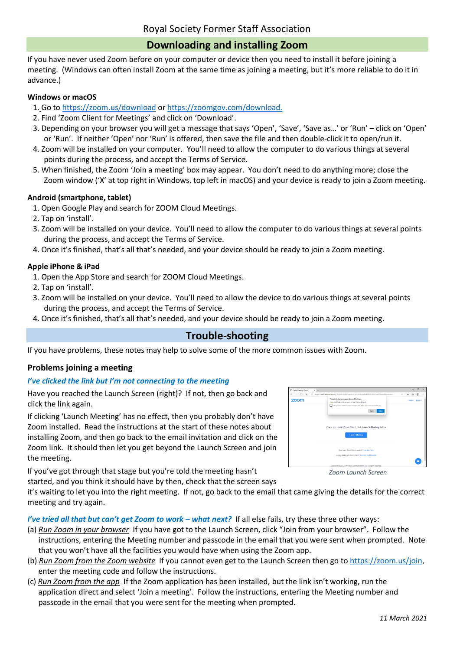# **Downloading and installing Zoom**

If you have never used Zoom before on your computer or device then you need to install it before joining a meeting. (Windows can often install Zoom at the same time as joining a meeting, but it's more reliable to do it in advance.)

#### **Windows or macOS**

- 1. Go t[o https://zoom.us/download](https://zoom.us/download) o[r https://zoomgov.com/download.](https://zoomgov.com/download)
- 2. Find 'Zoom Client for Meetings' and click on 'Download'.
- 3. Depending on your browser you will get a message that says 'Open', 'Save', 'Save as…' or 'Run' click on 'Open' or 'Run'. If neither 'Open' nor 'Run' is offered, then save the file and then double-click it to open/run it.
- 4. Zoom will be installed on your computer. You'll need to allow the computer to do various things at several points during the process, and accept the Terms of Service.
- 5. When finished, the Zoom 'Join a meeting' box may appear. You don't need to do anything more; close the Zoom window ('X' at top right in Windows, top left in macOS) and your device is ready to join a Zoom meeting.

## **Android (smartphone, tablet)**

- 1. Open Google Play and search for ZOOM Cloud Meetings.
- 2. Tap on 'install'.
- 3. Zoom will be installed on your device. You'll need to allow the computer to do various things at several points during the process, and accept the Terms of Service.
- 4. Once it's finished, that's all that's needed, and your device should be ready to join a Zoom meeting.

#### **Apple iPhone & iPad**

- 1. Open the App Store and search for ZOOM Cloud Meetings.
- 2. Tap on 'install'.
- 3. Zoom will be installed on your device. You'll need to allow the device to do various things at several points during the process, and accept the Terms of Service.
- 4. Once it's finished, that's all that's needed, and your device should be ready to join a Zoom meeting.

# **Trouble-shooting**

If you have problems, these notes may help to solve some of the more common issues with Zoom.

## **Problems joining a meeting**

#### *I've clicked the link but I'm not connecting to the meeting*

Have you reached the Launch Screen (right)? If not, then go back and click the link again.

If clicking 'Launch Meeting' has no effect, then you probably don't have Zoom installed. Read the instructions at the start of these notes about installing Zoom, and then go back to the email invitation and click on the Zoom link. It should then let you get beyond the Launch Screen and join the meeting.

If you've got through that stage but you're told the meeting hasn't started, and you think it should have by then, check that the screen says zoom Cpm C a

*Zoom Launch Screen*

it's waiting to let you into the right meeting. If not, go back to the email that came giving the details for the correct meeting and try again.

*I've tried all that but can't get Zoom to work – what next?*If all else fails, try these three other ways:

- (a) *Run Zoom in your browser* If you have got to the Launch Screen, click "Join from your browser". Follow the instructions, entering the Meeting number and passcode in the email that you were sent when prompted. Note that you won't have all the facilities you would have when using the Zoom app.
- (b) *Run Zoom from the Zoom website* If you cannot even get to the Launch Screen then go to [https://zoom.us/join,](https://zoom.us/join) enter the meeting code and follow the instructions.
- (c) *Run Zoom from the app* If the Zoom application has been installed, but the link isn't working, run the application direct and select 'Join a meeting'. Follow the instructions, entering the Meeting number and passcode in the email that you were sent for the meeting when prompted.